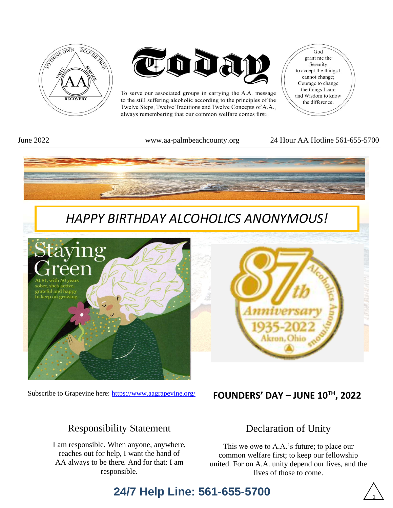



To serve our associated groups in carrying the A.A. message to the still suffering alcoholic according to the principles of the Twelve Steps, Twelve Traditions and Twelve Concepts of A.A., always remembering that our common welfare comes first.

God grant me the Serenity to accept the things I cannot change; Courage to change the things I can; and Wisdom to know the difference.

June 2022 www.aa-palmbeachcounty.org 24 Hour AA Hotline 561-655-5700



Subscribe to Grapevine here:<https://www.aagrapevine.org/>

## **FOUNDERS' DAY – JUNE 10TH , 2022**

## Responsibility Statement

I am responsible. When anyone, anywhere, reaches out for help, I want the hand of AA always to be there. And for that: I am responsible.

## Declaration of Unity

This we owe to A.A.'s future; to place our common welfare first; to keep our fellowship united. For on A.A. unity depend our lives, and the lives of those to come.

## **24/7 Help Line: 561-655-5700**

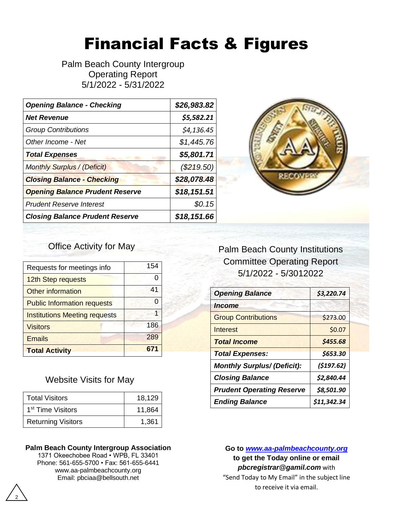# Financial Facts & Figures

Palm Beach County Intergroup Operating Report 5/1/2022 - 5/31/2022

| <b>Opening Balance - Checking</b>      | \$26,983.82  |
|----------------------------------------|--------------|
| <b>Net Revenue</b>                     | \$5,582.21   |
| <b>Group Contributions</b>             | \$4,136.45   |
| Other Income - Net                     | \$1,445.76   |
| <b>Total Expenses</b>                  | \$5,801.71   |
| <b>Monthly Surplus / (Deficit)</b>     | $(\$219.50)$ |
| <b>Closing Balance - Checking</b>      | \$28,078.48  |
| <b>Opening Balance Prudent Reserve</b> | \$18,151.51  |
| <b>Prudent Reserve Interest</b>        | \$0.15       |
| <b>Closing Balance Prudent Reserve</b> | \$18,151.66  |



#### Office Activity for May

| Requests for meetings info           | 154 |
|--------------------------------------|-----|
| 12th Step requests                   | O   |
| <b>Other information</b>             | 41  |
| <b>Public Information requests</b>   | O   |
| <b>Institutions Meeting requests</b> | 1   |
| <b>Visitors</b>                      | 186 |
| <b>Emails</b>                        | 289 |
| <b>Total Activity</b>                | 671 |

#### Website Visits for May

| <b>Total Visitors</b>         | 18,129 |  |
|-------------------------------|--------|--|
| 1 <sup>st</sup> Time Visitors | 11,864 |  |
| <b>Returning Visitors</b>     | 1,361  |  |

#### **Palm Beach County Intergroup Association**

1371 Okeechobee Road • WPB, FL 33401 Phone: 561-655-5700 • Fax: 561-655-6441 www.aa-palmbeachcounty.org Email: pbciaa@bellsouth.net

## Palm Beach County Institutions Committee Operating Report 5/1/2022 - 5/3012022

| <b>Opening Balance</b>             | \$3,220.74 |
|------------------------------------|------------|
| <i><u><b>Income</b></u></i>        |            |
| <b>Group Contributions</b>         | \$273.00   |
| Interest                           | \$0.07     |
| <b>Total Income</b>                | \$455.68   |
| <b>Total Expenses:</b>             | \$653.30   |
|                                    |            |
| <b>Monthly Surplus/ (Deficit):</b> | (5197.62)  |
| <b>Closing Balance</b>             | \$2,840.44 |
| <b>Prudent Operating Reserve</b>   | \$8,501.90 |

**Go to** *[www.aa-palmbeachcounty.org](file:///C:/Users/admin/Documents/www.aa-palmbeachcounty.org)* **to get the Today online or email**  *pbcregistrar@gamil.com* with "Send Today to My Email" in the subject line to receive it via email.

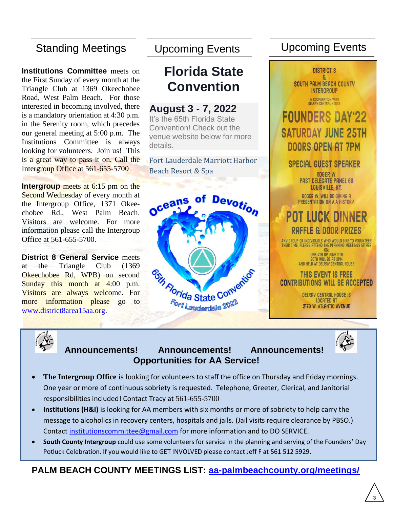## Standing Meetings

**.** our general meeting at 5:00 p.m. The **Institutions Committee** meets on the First Sunday of every month at the Triangle Club at 1369 Okeechobee Road, West Palm Beach. For those interested in becoming involved, there is a mandatory orientation at 4:30 p.m. in the Serenity room, which precedes Institutions Committee is always looking for volunteers. Join us! This is a great way to pass it on. Call the Intergroup Office at 561-655-5700

**Intergroup** meets at 6:15 pm on the Second Wednesday of every month at the Intergroup Office, 1371 Okeechobee Rd., West Palm Beach. Visitors are welcome. For more information please call the Intergroup Office at 561-655-5700.

**District 8 General Service** meets at the Triangle Club (1369 Okeechobee Rd, WPB) on second Sunday this month at 4:00 p.m. Visitors are always welcome. For more information please go to [www.district8area15aa.org.](http://www.district8area15aa.org/)

## **Florida State Convention**

#### **August 3 - 7, 2022**

It's the 65th Florida State Convention! Check out the venue website below for more details.

Fort Lauderdale Marriott Harbor Beach Resort & Spa



## Upcoming Events Upcoming Events

**DISTRICT 8** ٩ **SOUTH PALM BEACH COUNTY INTERGROUP** IN COOPERATION WITH<br>DELRAY CENTRAL HOUSE

## **FOUNDERS DAY'22 SATURDAY JUNE 25TH DOORS OPEN AT 7PM**

## **SPECIAL GUEST SPEAKER**

ROGER W. PAST DELEGATE PANEL 68 LOUISVILLE, KY.

ROGER W. WILL BE GIVING A PRESENTATION ON A.A HISTORY.

## **POT LUCK DINNER** raffle & Door Prizes

any group or individuals who would like to volunteer<br>Their time, please attend the planning meetings either  $ON<sub>2</sub>$ 

JUNE 4TH OR JUNE 11TH. BOTH WILL BE AT 2PM<br>AND HELD AT DELRAY CENTRAL HOUSE

#### THIS EVENT IS FREE **CONTRIBUTIONS WILL BE ACCEPTED**

**DELRAY CENTRAL HOUSE IS LOCATED AT** 2170 W. ATLANTIC AVENUE



#### **Announcements! Announcements! Announcements! Opportunities for AA Service!**



- **The Intergroup Office** is looking for volunteers to staff the office on Thursday and Friday mornings. One year or more of continuous sobriety is requested. Telephone, Greeter, Clerical, and Janitorial responsibilities included! Contact Tracy at 561-655-5700
- **Institutions (H&I)** is looking for AA members with six months or more of sobriety to help carry the message to alcoholics in recovery centers, hospitals and jails. (Jail visits require clearance by PBSO.) Contact [institutionscommittee@gmail.com](mailto:institutionscommittee@gmail.com) for more information and to DO SERVICE.
- **South County Intergroup** could use some volunteers for service in the planning and serving of the Founders' Day Potluck Celebration. If you would like to GET INVOLVED please contact Jeff F at 561 512 5929.

## **PALM BEACH COUNTY MEETINGS LIST: [aa-palmbeachcounty.org/meetings/](https://aa-palmbeachcounty.org/meetings/)**